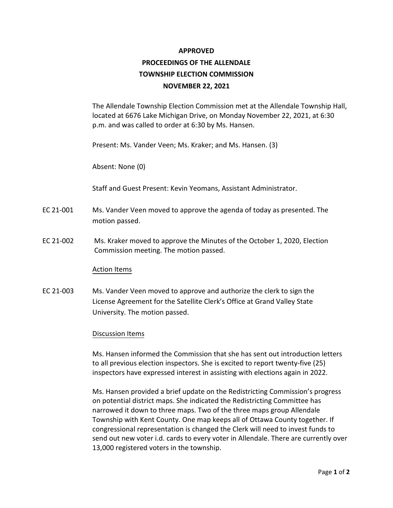#### **APPROVED**

# **PROCEEDINGS OF THE ALLENDALE TOWNSHIP ELECTION COMMISSION NOVEMBER 22, 2021**

The Allendale Township Election Commission met at the Allendale Township Hall, located at 6676 Lake Michigan Drive, on Monday November 22, 2021, at 6:30 p.m. and was called to order at 6:30 by Ms. Hansen.

Present: Ms. Vander Veen; Ms. Kraker; and Ms. Hansen. (3)

Absent: None (0)

Staff and Guest Present: Kevin Yeomans, Assistant Administrator.

- EC 21-001 Ms. Vander Veen moved to approve the agenda of today as presented. The motion passed.
- EC 21-002 Ms. Kraker moved to approve the Minutes of the October 1, 2020, Election Commission meeting. The motion passed.

### Action Items

EC 21-003 Ms. Vander Veen moved to approve and authorize the clerk to sign the License Agreement for the Satellite Clerk's Office at Grand Valley State University. The motion passed.

### Discussion Items

Ms. Hansen informed the Commission that she has sent out introduction letters to all previous election inspectors. She is excited to report twenty-five (25) inspectors have expressed interest in assisting with elections again in 2022.

Ms. Hansen provided a brief update on the Redistricting Commission's progress on potential district maps. She indicated the Redistricting Committee has narrowed it down to three maps. Two of the three maps group Allendale Township with Kent County. One map keeps all of Ottawa County together. If congressional representation is changed the Clerk will need to invest funds to send out new voter i.d. cards to every voter in Allendale. There are currently over 13,000 registered voters in the township.